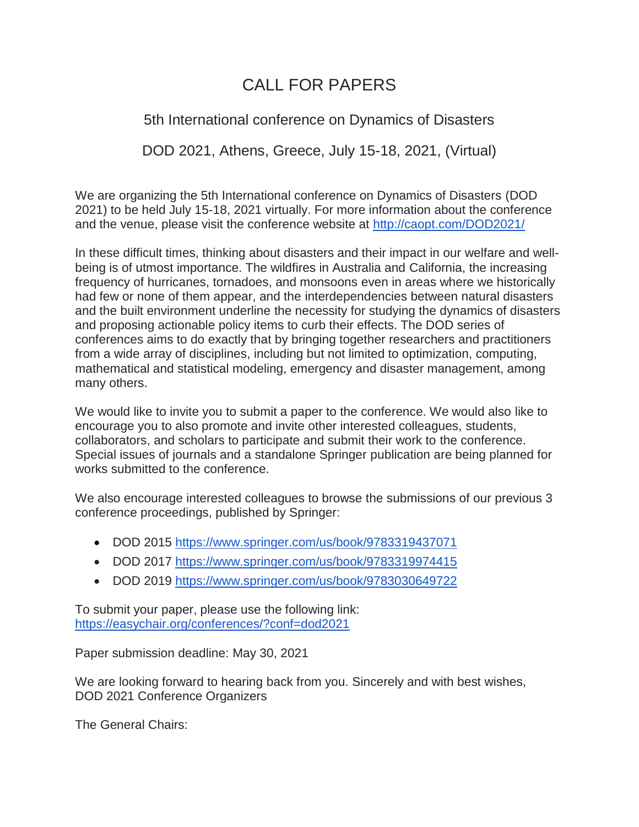# CALL FOR PAPERS

## 5th International conference on Dynamics of Disasters

DOD 2021, Athens, Greece, July 15-18, 2021, (Virtual)

We are organizing the 5th International conference on Dynamics of Disasters (DOD 2021) to be held July 15-18, 2021 virtually. For more information about the conference and the venue, please visit the conference website at <http://caopt.com/DOD2021/>

In these difficult times, thinking about disasters and their impact in our welfare and wellbeing is of utmost importance. The wildfires in Australia and California, the increasing frequency of hurricanes, tornadoes, and monsoons even in areas where we historically had few or none of them appear, and the interdependencies between natural disasters and the built environment underline the necessity for studying the dynamics of disasters and proposing actionable policy items to curb their effects. The DOD series of conferences aims to do exactly that by bringing together researchers and practitioners from a wide array of disciplines, including but not limited to optimization, computing, mathematical and statistical modeling, emergency and disaster management, among many others.

We would like to invite you to submit a paper to the conference. We would also like to encourage you to also promote and invite other interested colleagues, students, collaborators, and scholars to participate and submit their work to the conference. Special issues of journals and a standalone Springer publication are being planned for works submitted to the conference.

We also encourage interested colleagues to browse the submissions of our previous 3 conference proceedings, published by Springer:

- DOD 2015 <https://www.springer.com/us/book/9783319437071>
- DOD 2017 <https://www.springer.com/us/book/9783319974415>
- DOD 2019 <https://www.springer.com/us/book/9783030649722>

To submit your paper, please use the following link: <https://easychair.org/conferences/?conf=dod2021>

Paper submission deadline: May 30, 2021

We are looking forward to hearing back from you. Sincerely and with best wishes, DOD 2021 Conference Organizers

The General Chairs: